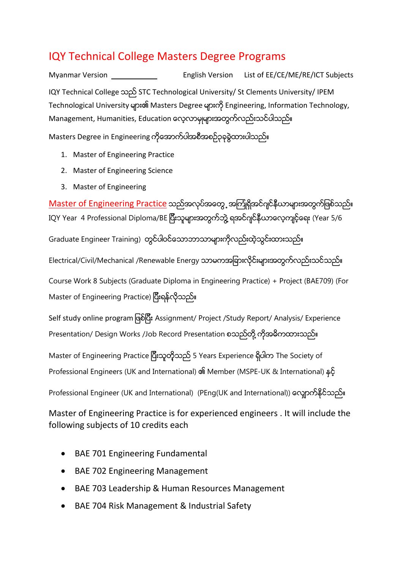## IQY Technical College Masters Degree Programs

<span id="page-0-0"></span>[Myanmar Version](#page-0-0) [English Version](#page-8-0) [List of EE/CE/ME/RE/ICT Subjects](#page-2-0) IQY Technical College သည္STC Technological University/ St Clements University/ IPEM Technological University များ၏ Masters Degree များကို Engineering, Information Technology, Management, Humanities, Education ေလ့လာမှုများအတွက်လည်းသင်ပါသည်။

Masters Degree in Engineering ကိုေအာက်ပါအစီအစဉ်၃ခုခွဲထားပါသည်။

- 1. Master of Engineering Practice
- 2. Master of Engineering Science
- 3. Master of Engineering

Master of Engineering Practice သည်အလုပ်အတွေ့ အကြုံရှိအင်ဂျင်နီယာများအတွက်ဖြစ်သည်။ IQY Year 4 Professional Diploma/BE ပြီးသူများအတွက်ဘွဲ့ ရအင်ဂျင်နီယာလေ့ကျင့်ရေး (Year 5/6 Graduate Engineer Training) တွင်ပါဝင်သောဘာသာများကိုလည်းထဲ့သွင်းထားသည်။ Electrical/Civil/Mechanical /Renewable Energy သာမကအခြားလိုင်းများအတွက်လည်းသင်သည်။ Course Work 8 Subjects (Graduate Diploma in Engineering Practice) + Project (BAE709) (For Master of Engineering Practice) ပြီးရန်လိုသည်။

Self study online program ဖြစ်ပြီး Assignment/ Project /Study Report/ Analysis/ Experience Presentation/ Design Works /Job Record Presentation စသည်တို့ ကိုအဓိကထားသည်။

Master of Engineering Practice ပြီးသူတို့သည် 5 Years Experience ရှိပါက The Society of Professional Engineers (UK and International) ၏ Member (MSPE-UK & International) နှင့်

Professional Engineer (UK and International) (PEng(UK and International)) လျောက်နိုင်သည်။

Master of Engineering Practice is for experienced engineers . It will include the following subjects of 10 credits each

- BAE 701 Engineering Fundamental
- BAE 702 Engineering Management
- BAE 703 Leadership & Human Resources Management
- BAE 704 Risk Management & Industrial Safety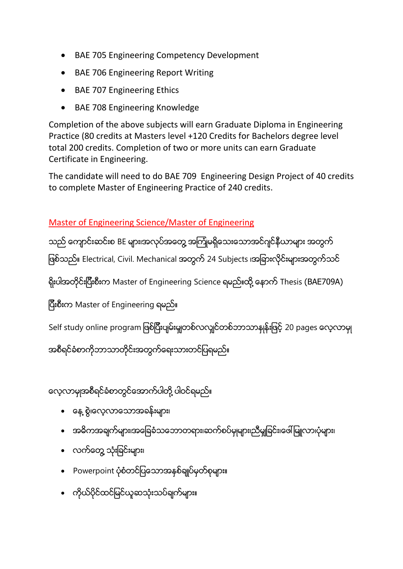- BAE 705 Engineering Competency Development
- BAE 706 Engineering Report Writing
- BAE 707 Engineering Ethics
- BAE 708 Engineering Knowledge

Completion of the above subjects will earn Graduate Diploma in Engineering Practice (80 credits at Masters level +120 Credits for Bachelors degree level total 200 credits. Completion of two or more units can earn Graduate Certificate in Engineering.

The candidate will need to do BAE 709 Engineering Design Project of 40 credits to complete Master of Engineering Practice of 240 credits.

### Master of Engineering Science/Master of Engineering

သည် ကျောင်းဆင်းစ BE များ၊အလုပ်အတွေ့ အကြုံမရှိသေးသောအင်ဂျင်နီယာများ အတွက် ဖြစ်သည်။ Electrical, Civil. Mechanical အတွက် 24 Subjects ၊အခြားလိုင်းများအတွက်သင်

ရိုးပါအတိုင်းပြီးစီးက Master of Engineering Science ရမည်။ထို့ နောက် Thesis (BAE709A)

ပြီးစီးက Master of Engineering ရမည်။

Self study online program ဖြစ်ပြီးပျမ်းမျှတစ်လလျှင်တစ်ဘာသာနှုန်းဖြင့် 20 pages လေ့လာမှု

အစီရင်ခံစာကိုဘာသာတိုင်းအတွက်ရေးသားတင်ပြရမည်။

လေ့လာမှုအစီရင်ခံစာတွင်အောက်ပါတို့ ပါဝင်ရမည်။

- ေနေ့ စွဲ၊လေ့လာသောအခန်းများ၊
- အဓိကအချက်များ၊အခြေခံသဘောတရား၊ဆက်စပ်မှုများ၊ညီမှုုခြင်း၊ဖေါ်မြူလာ၊ပုံများ၊
- လက်တွေ့ သုံးခြင်းများ၊
- Powerpoint ပုံစံတင်ပြသောအနှစ်ချုပ်မှတ်စုများ။
- ကိုယ်ပိုင်ထင်မြင်ယူဆသုံးသပ်ချက်များ။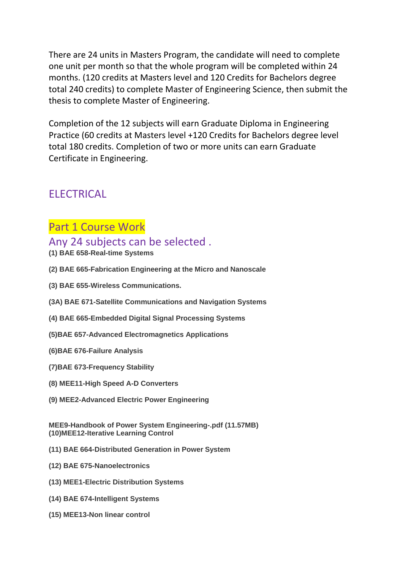There are 24 units in Masters Program, the candidate will need to complete one unit per month so that the whole program will be completed within 24 months. (120 credits at Masters level and 120 Credits for Bachelors degree total 240 credits) to complete Master of Engineering Science, then submit the thesis to complete Master of Engineering.

Completion of the 12 subjects will earn Graduate Diploma in Engineering Practice (60 credits at Masters level +120 Credits for Bachelors degree level total 180 credits. Completion of two or more units can earn Graduate Certificate in Engineering.

## <span id="page-2-0"></span>ELECTRICAL

### Part 1 Course Work

### Any 24 subjects can be selected .

- **(1) BAE 658-Real-time Systems**
- **(2) BAE 665-Fabrication Engineering at the Micro and Nanoscale**
- **(3) BAE 655-Wireless Communications.**
- **(3A) BAE 671-Satellite Communications and Navigation Systems**
- **(4) BAE 665-Embedded Digital Signal Processing Systems**
- **(5)BAE 657-Advanced Electromagnetics Applications**
- **(6)BAE 676-Failure Analysis**
- **(7)BAE 673-Frequency Stability**
- **(8) MEE11-High Speed A-D Converters**
- **(9) MEE2-Advanced Electric Power Engineering**

**MEE9-Handbook of Power System Engineering-.pdf (11.57MB) (10)MEE12-Iterative Learning Control**

- **(11) BAE 664-Distributed Generation in Power System**
- **(12) BAE 675-Nanoelectronics**
- **(13) MEE1-Electric Distribution Systems**
- **(14) BAE 674-Intelligent Systems**
- **(15) MEE13-Non linear control**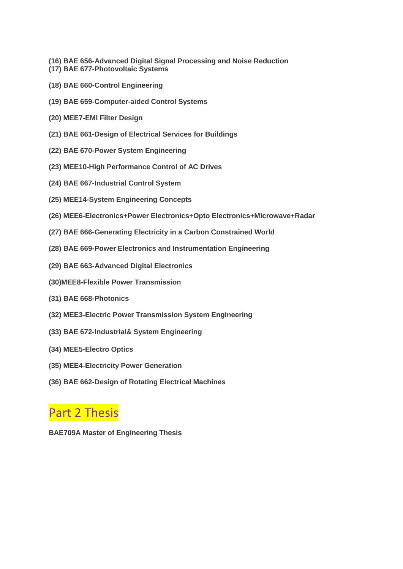- **(16) BAE 656-Advanced Digital Signal Processing and Noise Reduction**
- **(17) BAE 677-Photovoltaic Systems**
- **(18) BAE 660-Control Engineering**
- **(19) BAE 659-Computer-aided Control Systems**
- **(20) MEE7-EMI Filter Design**
- **(21) BAE 661-Design of Electrical Services for Buildings**
- **(22) BAE 670-Power System Engineering**
- **(23) MEE10-High Performance Control of AC Drives**
- **(24) BAE 667-Industrial Control System**
- **(25) MEE14-System Engineering Concepts**
- **(26) MEE6-Electronics+Power Electronics+Opto Electronics+Microwave+Radar**
- **(27) BAE 666-Generating Electricity in a Carbon Constrained World**
- **(28) BAE 669-Power Electronics and Instrumentation Engineering**
- **(29) BAE 663-Advanced Digital Electronics**
- **(30)MEE8-Flexible Power Transmission**
- **(31) BAE 668-Photonics**
- **(32) MEE3-Electric Power Transmission System Engineering**
- **(33) BAE 672-Industrial& System Engineering**
- **(34) MEE5-Electro Optics**
- **(35) MEE4-Electricity Power Generation**
- **(36) BAE 662-Design of Rotating Electrical Machines**

# Part 2 Thesis

**BAE709A Master of Engineering Thesis**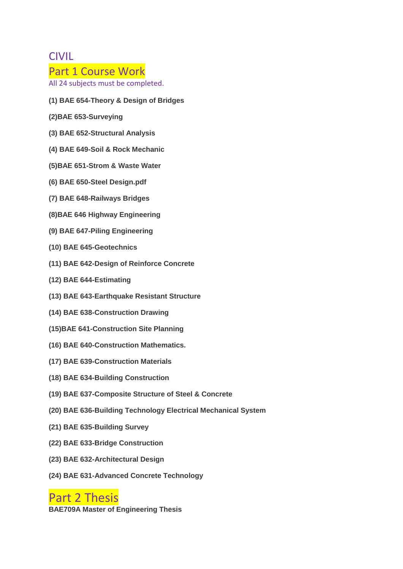### **CIVIL**

#### Part 1 Course Work

All 24 subjects must be completed.

- **(1) BAE 654-Theory & Design of Bridges**
- **(2)BAE 653-Surveying**
- **(3) BAE 652-Structural Analysis**
- **(4) BAE 649-Soil & Rock Mechanic**
- **(5)BAE 651-Strom & Waste Water**
- **(6) BAE 650-Steel Design.pdf**
- **(7) BAE 648-Railways Bridges**
- **(8)BAE 646 Highway Engineering**
- **(9) BAE 647-Piling Engineering**
- **(10) BAE 645-Geotechnics**
- **(11) BAE 642-Design of Reinforce Concrete**
- **(12) BAE 644-Estimating**
- **(13) BAE 643-Earthquake Resistant Structure**
- **(14) BAE 638-Construction Drawing**
- **(15)BAE 641-Construction Site Planning**
- **(16) BAE 640-Construction Mathematics.**
- **(17) BAE 639-Construction Materials**
- **(18) BAE 634-Building Construction**
- **(19) BAE 637-Composite Structure of Steel & Concrete**
- **(20) BAE 636-Building Technology Electrical Mechanical System**
- **(21) BAE 635-Building Survey**
- **(22) BAE 633-Bridge Construction**
- **(23) BAE 632-Architectural Design**
- **(24) BAE 631-Advanced Concrete Technology**

## Part 2 Thesis

**BAE709A Master of Engineering Thesis**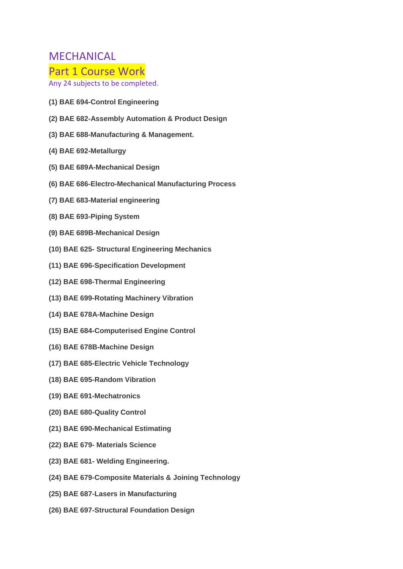### MECHANICAL

#### Part 1 Course Work

Any 24 subjects to be completed.

- **(1) BAE 694-Control Engineering**
- **(2) BAE 682-Assembly Automation & Product Design**
- **(3) BAE 688-Manufacturing & Management.**
- **(4) BAE 692-Metallurgy**
- **(5) BAE 689A-Mechanical Design**
- **(6) BAE 686-Electro-Mechanical Manufacturing Process**
- **(7) BAE 683-Material engineering**
- **(8) BAE 693-Piping System**
- **(9) BAE 689B-Mechanical Design**
- **(10) BAE 625- Structural Engineering Mechanics**
- **(11) BAE 696-Specification Development**
- **(12) BAE 698-Thermal Engineering**
- **(13) BAE 699-Rotating Machinery Vibration**
- **(14) BAE 678A-Machine Design**
- **(15) BAE 684-Computerised Engine Control**
- **(16) BAE 678B-Machine Design**
- **(17) BAE 685-Electric Vehicle Technology**
- **(18) BAE 695-Random Vibration**
- **(19) BAE 691-Mechatronics**
- **(20) BAE 680-Quality Control**
- **(21) BAE 690-Mechanical Estimating**
- **(22) BAE 679- Materials Science**
- **(23) BAE 681- Welding Engineering.**
- **(24) BAE 679-Composite Materials & Joining Technology**
- **(25) BAE 687-Lasers in Manufacturing**
- **(26) BAE 697-Structural Foundation Design**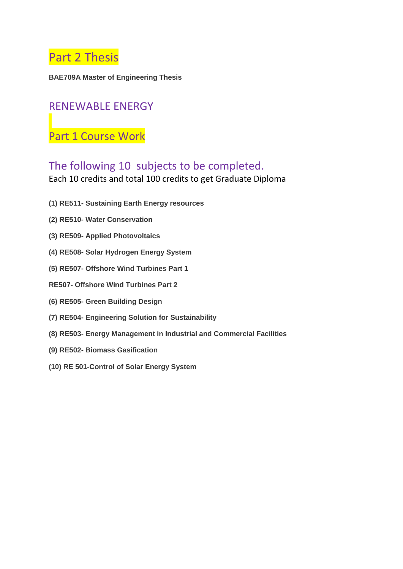

**BAE709A Master of Engineering Thesis**

### RENEWABLE ENERGY

Part 1 Course Work

## The following 10 subjects to be completed.

Each 10 credits and total 100 credits to get Graduate Diploma

- **(1) RE511- Sustaining Earth Energy resources**
- **(2) RE510- Water Conservation**
- **(3) RE509- Applied Photovoltaics**
- **(4) RE508- Solar Hydrogen Energy System**
- **(5) RE507- Offshore Wind Turbines Part 1**
- **RE507- Offshore Wind Turbines Part 2**
- **(6) RE505- Green Building Design**
- **(7) RE504- Engineering Solution for Sustainability**
- **(8) RE503- Energy Management in Industrial and Commercial Facilities**
- **(9) RE502- Biomass Gasification**
- **(10) RE 501-Control of Solar Energy System**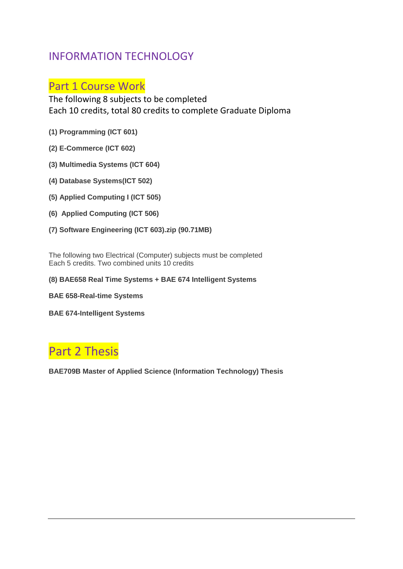## INFORMATION TECHNOLOGY

## Part 1 Course Work

The following 8 subjects to be completed Each 10 credits, total 80 credits to complete Graduate Diploma

- **(1) Programming (ICT 601)**
- **(2) E-Commerce (ICT 602)**
- **(3) Multimedia Systems (ICT 604)**
- **(4) Database Systems(ICT 502)**
- **(5) Applied Computing I (ICT 505)**
- **(6) Applied Computing (ICT 506)**
- **(7) Software Engineering (ICT 603).zip (90.71MB)**

The following two Electrical (Computer) subjects must be completed Each 5 credits. Two combined units 10 credits

**(8) BAE658 Real Time Systems + BAE 674 Intelligent Systems**

**BAE 658-Real-time Systems**

**BAE 674-Intelligent Systems**

# Part 2 Thesis

**BAE709B Master of Applied Science (Information Technology) Thesis**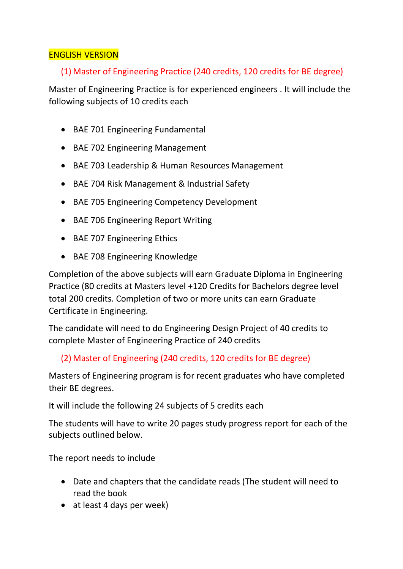#### <span id="page-8-0"></span>ENGLISH VERSION

#### (1) Master of Engineering Practice (240 credits, 120 credits for BE degree)

Master of Engineering Practice is for experienced engineers . It will include the following subjects of 10 credits each

- BAE 701 Engineering Fundamental
- BAE 702 Engineering Management
- BAE 703 Leadership & Human Resources Management
- BAE 704 Risk Management & Industrial Safety
- BAE 705 Engineering Competency Development
- BAE 706 Engineering Report Writing
- BAE 707 Engineering Ethics
- BAE 708 Engineering Knowledge

Completion of the above subjects will earn Graduate Diploma in Engineering Practice (80 credits at Masters level +120 Credits for Bachelors degree level total 200 credits. Completion of two or more units can earn Graduate Certificate in Engineering.

The candidate will need to do Engineering Design Project of 40 credits to complete Master of Engineering Practice of 240 credits

#### (2) Master of Engineering (240 credits, 120 credits for BE degree)

Masters of Engineering program is for recent graduates who have completed their BE degrees.

It will include the following 24 subjects of 5 credits each

The students will have to write 20 pages study progress report for each of the subjects outlined below.

The report needs to include

- Date and chapters that the candidate reads (The student will need to read the book
- at least 4 days per week)